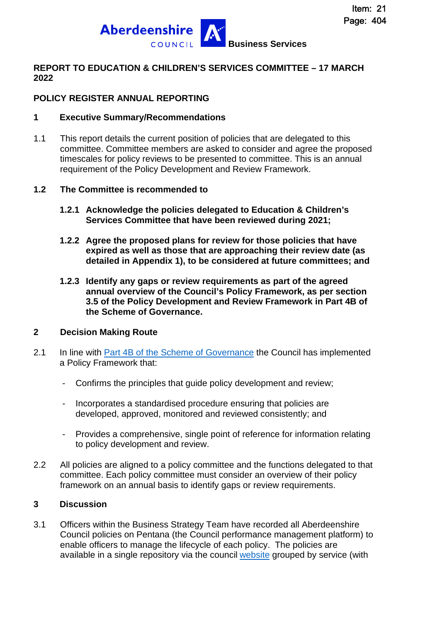

### **REPORT TO EDUCATION & CHILDREN'S SERVICES COMMITTEE – 17 MARCH 2022**

## **POLICY REGISTER ANNUAL REPORTING**

#### **1 Executive Summary/Recommendations**

1.1 This report details the current position of policies that are delegated to this committee. Committee members are asked to consider and agree the proposed timescales for policy reviews to be presented to committee. This is an annual requirement of the Policy Development and Review Framework.

#### **1.2 The Committee is recommended to**

- **1.2.1 Acknowledge the policies delegated to Education & Children's Services Committee that have been reviewed during 2021;**
- **1.2.2 Agree the proposed plans for review for those policies that have expired as well as those that are approaching their review date (as detailed in Appendix 1), to be considered at future committees; and**
- **1.2.3 Identify any gaps or review requirements as part of the agreed annual overview of the Council's Policy Framework, as per section 3.5 of the Policy Development and Review Framework in Part 4B of the Scheme of Governance.**

#### **2 Decision Making Route**

- 2.1 In line with [Part 4B of the Scheme of Governance](http://publications.aberdeenshire.gov.uk/dataset/c8044f6f-e327-499f-bbc7-94ae9d699559/resource/0118bb67-2c5e-4725-bde9-683f1b393060/download/policy-development-and-review-framework.pdf) the Council has implemented a Policy Framework that:
	- Confirms the principles that guide policy development and review;
	- Incorporates a standardised procedure ensuring that policies are developed, approved, monitored and reviewed consistently; and
	- Provides a comprehensive, single point of reference for information relating to policy development and review.
- 2.2 All policies are aligned to a policy committee and the functions delegated to that committee. Each policy committee must consider an overview of their policy framework on an annual basis to identify gaps or review requirements.

#### **3 Discussion**

3.1 Officers within the Business Strategy Team have recorded all Aberdeenshire Council policies on Pentana (the Council performance management platform) to enable officers to manage the lifecycle of each policy. The policies are available in a single repository via the council [website](https://www.aberdeenshire.gov.uk/a-z/?letter=P) grouped by service (with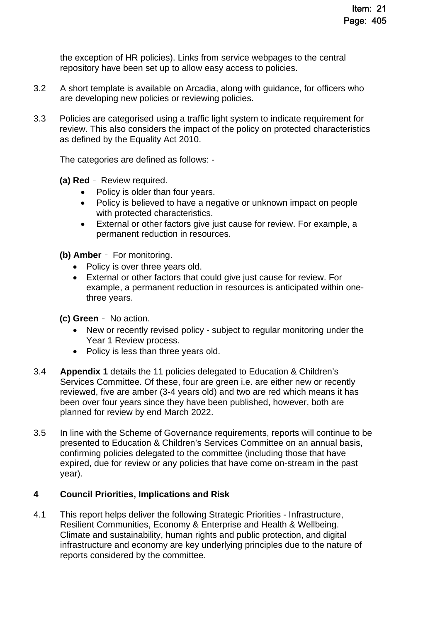the exception of HR policies). Links from service webpages to the central repository have been set up to allow easy access to policies.

- 3.2 A short template is available on Arcadia, along with guidance, for officers who are developing new policies or reviewing policies.
- 3.3 Policies are categorised using a traffic light system to indicate requirement for review. This also considers the impact of the policy on protected characteristics as defined by the Equality Act 2010.

The categories are defined as follows: -

- **(a) Red**  Review required.
	- Policy is older than four years.
	- Policy is believed to have a negative or unknown impact on people with protected characteristics.
	- External or other factors give just cause for review. For example, a permanent reduction in resources.

**(b) Amber** – For monitoring.

- Policy is over three years old.
- External or other factors that could give just cause for review. For example, a permanent reduction in resources is anticipated within onethree years.
- **(c) Green**  No action.
	- New or recently revised policy subject to regular monitoring under the Year 1 Review process.
	- Policy is less than three years old.
- 3.4 **Appendix 1** details the 11 policies delegated to Education & Children's Services Committee. Of these, four are green i.e. are either new or recently reviewed, five are amber (3-4 years old) and two are red which means it has been over four years since they have been published, however, both are planned for review by end March 2022.
- 3.5 In line with the Scheme of Governance requirements, reports will continue to be presented to Education & Children's Services Committee on an annual basis, confirming policies delegated to the committee (including those that have expired, due for review or any policies that have come on-stream in the past year).

#### **4 Council Priorities, Implications and Risk**

4.1 This report helps deliver the following Strategic Priorities - Infrastructure, Resilient Communities, Economy & Enterprise and Health & Wellbeing. Climate and sustainability, human rights and public protection, and digital infrastructure and economy are key underlying principles due to the nature of reports considered by the committee.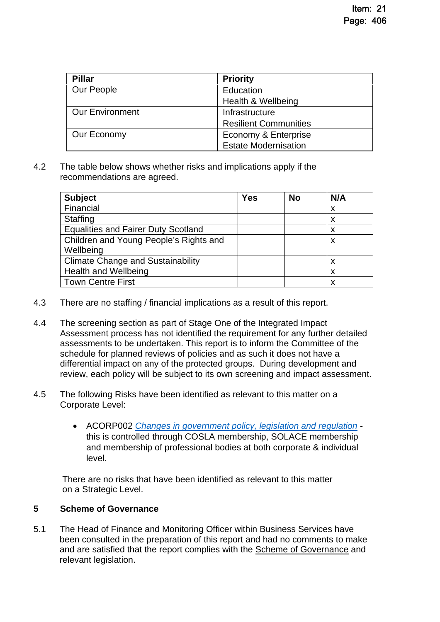| <b>Pillar</b>          | <b>Priority</b>              |
|------------------------|------------------------------|
| Our People             | Education                    |
|                        | Health & Wellbeing           |
| <b>Our Environment</b> | Infrastructure               |
|                        | <b>Resilient Communities</b> |
| Our Economy            | Economy & Enterprise         |
|                        | <b>Estate Modernisation</b>  |

4.2 The table below shows whether risks and implications apply if the recommendations are agreed.

| <b>Subject</b>                             | Yes | <b>No</b> | N/A |
|--------------------------------------------|-----|-----------|-----|
| Financial                                  |     |           | X   |
| <b>Staffing</b>                            |     |           | x   |
| <b>Equalities and Fairer Duty Scotland</b> |     |           | x   |
| Children and Young People's Rights and     |     |           | X   |
| Wellbeing                                  |     |           |     |
| <b>Climate Change and Sustainability</b>   |     |           | х   |
| <b>Health and Wellbeing</b>                |     |           | x   |
| <b>Town Centre First</b>                   |     |           | x   |

- 4.3 There are no staffing / financial implications as a result of this report.
- 4.4 The screening section as part of Stage One of the Integrated Impact Assessment process has not identified the requirement for any further detailed assessments to be undertaken. This report is to inform the Committee of the schedule for planned reviews of policies and as such it does not have a differential impact on any of the protected groups. During development and review, each policy will be subject to its own screening and impact assessment.
- 4.5 The following Risks have been identified as relevant to this matter on a Corporate Level:
	- ACORP002 *[Changes in government policy, legislation and regulation](http://www.aberdeenshire.gov.uk/media/21264/aberdeenshire-corporate-risks.pdf)*  this is controlled through COSLA membership, SOLACE membership and membership of professional bodies at both corporate & individual level.

There are no risks that have been identified as relevant to this matter on a Strategic Level.

## **5 Scheme of Governance**

5.1 The Head of Finance and Monitoring Officer within Business Services have been consulted in the preparation of this report and had no comments to make and are satisfied that the report complies with the [Scheme of Governance](https://www.aberdeenshire.gov.uk/council-and-democracy/scheme-of-governance/) and relevant legislation.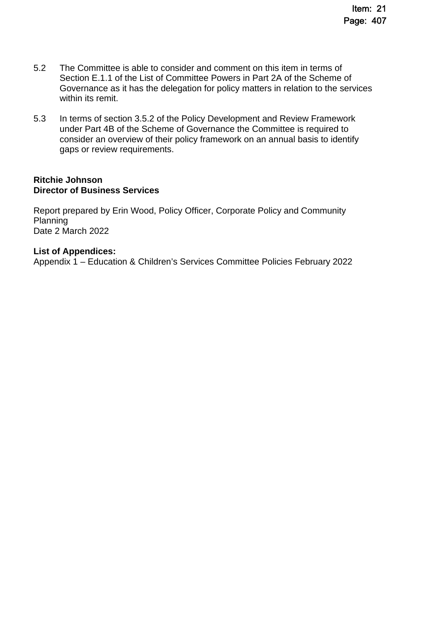- 5.2 The Committee is able to consider and comment on this item in terms of Section E.1.1 of the List of Committee Powers in Part 2A of the Scheme of Governance as it has the delegation for policy matters in relation to the services within its remit.
- 5.3 In terms of section 3.5.2 of the Policy Development and Review Framework under Part 4B of the Scheme of Governance the Committee is required to consider an overview of their policy framework on an annual basis to identify gaps or review requirements.

#### **Ritchie Johnson Director of Business Services**

Report prepared by Erin Wood, Policy Officer, Corporate Policy and Community Planning Date 2 March 2022

#### **List of Appendices:**

Appendix 1 – Education & Children's Services Committee Policies February 2022